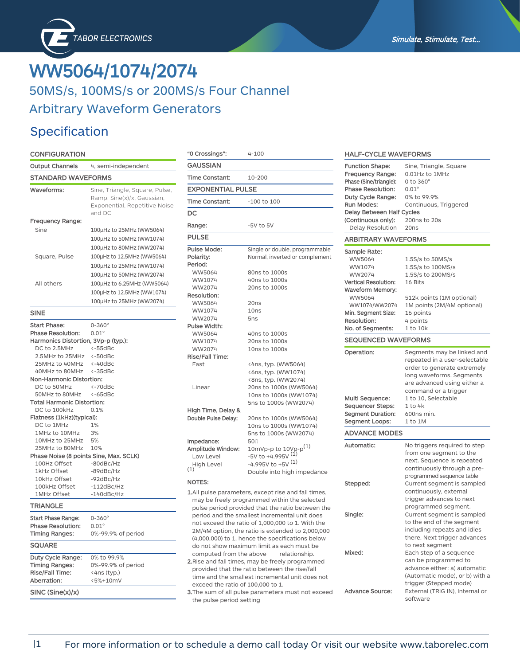# **WW5064/1074/2074** 50MS/s, 100MS/s or 200MS/s Four Channel Arbitrary Waveform Generators

### Specification

### **CONFIGURATION**

| Output Channels                        | 4, semi-independent                                                                                     |
|----------------------------------------|---------------------------------------------------------------------------------------------------------|
| <b>STANDARD WAVEFORMS</b>              |                                                                                                         |
| Waveforms:                             | Sine, Triangle, Square, Pulse,<br>Ramp, Sine(x)/x, Gaussian,<br>Exponential, Repetitive Noise<br>and DC |
| <b>Frequency Range:</b>                |                                                                                                         |
| Sine                                   | 100µHz to 25MHz (WW5064)                                                                                |
|                                        | 100µHz to 50MHz (WW1074)                                                                                |
|                                        | 100µHz to 80MHz (WW2074)                                                                                |
| Square, Pulse                          | 100µHz to 12.5MHz (WW5064)                                                                              |
|                                        | 100µHz to 25MHz (WW1074)                                                                                |
|                                        | 100µHz to 50MHz (WW2074)                                                                                |
| All others                             | 100µHz to 6.25MHz (WW5064)                                                                              |
|                                        | 100µHz to 12.5MHz (WW1074)                                                                              |
|                                        | 100µHz to 25MHz (WW2074)                                                                                |
| <b>SINE</b>                            |                                                                                                         |
| <b>Start Phase:</b>                    | $0 - 360^{\circ}$                                                                                       |
| <b>Phase Resolution:</b>               | $0.01^\circ$                                                                                            |
| Harmonics Distortion, 3Vp-p (typ.):    |                                                                                                         |
| DC to 2.5MHz                           | $<-55$ dBc                                                                                              |
| 2.5MHz to 25MHz                        | $\leftarrow$ 50dBc                                                                                      |
| 25MHz to 40MHz                         | $<-40dBc$                                                                                               |
| 40MHz to 80MHz                         | $<-35dBc$                                                                                               |
| Non-Harmonic Distortion:               |                                                                                                         |
| DC to 50MHz                            | $<-70dBc$                                                                                               |
| 50MHz to 80MHz                         | $<-65$ d $Bc$                                                                                           |
| <b>Total Harmonic Distortion:</b>      |                                                                                                         |
| DC to 100kHz                           | 0.1%                                                                                                    |
| Flatness (1kHz)(typical):              |                                                                                                         |
| DC to 1MHz                             | 1%                                                                                                      |
| 1MHz to 10MHz                          | 3%                                                                                                      |
| 10MHz to 25MHz                         | 5%                                                                                                      |
| 25MHz to 80MHz                         | 10%                                                                                                     |
| Phase Noise (8 points Sine, Max. SCLK) |                                                                                                         |
| 100Hz Offset                           | $-80$ d $Bc$ /Hz                                                                                        |
| 1kHz Offset<br>10kHz Offset            | $-89$ d $Bc$ /Hz                                                                                        |
| 100kHz Offset                          | -92dBc/Hz<br>$-112dBc/Hz$                                                                               |
| 1MHz Offset                            | -140dBc/Hz                                                                                              |
| TRIANGLE                               |                                                                                                         |
| <b>Start Phase Range:</b>              | $0 - 360^{\circ}$                                                                                       |
| <b>Phase Resolution:</b>               | $0.01^\circ$                                                                                            |
| <b>Timing Ranges:</b>                  | 0%-99.9% of period                                                                                      |
| <b>SQUARE</b>                          |                                                                                                         |
| Duty Cycle Range:                      | 0% to 99.9%                                                                                             |
| <b>Timing Ranges:</b>                  | 0%-99.9% of period                                                                                      |
| <b>Rise/Fall Time:</b>                 | <4ns (typ.)                                                                                             |
| Aberration:                            | <5%+10mV                                                                                                |
| SINC (Sine(x)/x)                       |                                                                                                         |
|                                        |                                                                                                         |

| "0 Crossings":                                                    | $4 - 100$                                                                                                                                                                                                                                                                                                                                                            |
|-------------------------------------------------------------------|----------------------------------------------------------------------------------------------------------------------------------------------------------------------------------------------------------------------------------------------------------------------------------------------------------------------------------------------------------------------|
| GAUSSIAN                                                          |                                                                                                                                                                                                                                                                                                                                                                      |
| Time Constant:                                                    | 10-200                                                                                                                                                                                                                                                                                                                                                               |
| <b>EXPONENTIAL PULSE</b>                                          |                                                                                                                                                                                                                                                                                                                                                                      |
| Time Constant:                                                    | $-100$ to $100$                                                                                                                                                                                                                                                                                                                                                      |
| DC                                                                |                                                                                                                                                                                                                                                                                                                                                                      |
| Range:                                                            | $-5V$ to $5V$                                                                                                                                                                                                                                                                                                                                                        |
| <b>PULSE</b>                                                      |                                                                                                                                                                                                                                                                                                                                                                      |
| Pulse Mode:<br>Polarity:<br>Period:                               | Single or double, programmable<br>Normal, inverted or complement                                                                                                                                                                                                                                                                                                     |
| WW5064<br>WW1074<br>WW2074<br>Resolution:                         | 80ns to 1000s<br>40ns to 1000s<br>20ns to 1000s                                                                                                                                                                                                                                                                                                                      |
| WW5064<br>WW1074<br>WW2074                                        | 20ns<br>10ns<br>5 <sub>ns</sub>                                                                                                                                                                                                                                                                                                                                      |
| Pulse Width:<br>WW5064<br>WW1074<br>WW2074                        | 40ns to 1000s<br>20ns to 1000s<br>10ns to 1000s                                                                                                                                                                                                                                                                                                                      |
| <b>Rise/Fall Time:</b><br>Fast                                    | <4ns, typ. (WW5064)<br><6ns, typ. (WW1074)                                                                                                                                                                                                                                                                                                                           |
| Linear                                                            | <8ns, typ. (WW2074)<br>20ns to 1000s (WW5064)<br>10ns to 1000s (WW1074)<br>5ns to 1000s (WW2074)                                                                                                                                                                                                                                                                     |
| High Time, Delay &<br>Double Pulse Delay:                         | 20ns to 1000s (WW5064)<br>10ns to 1000s (WW1074)<br>5ns to 1000s (WW2074)                                                                                                                                                                                                                                                                                            |
| Impedance:<br>Amplitude Window:<br>Low Level<br>High Level<br>(1) | 500<br>10mVp-p to $10$ Vp-p $^{(1)}$<br>-5V to +4.995V $(1)$<br>$-4.995V$ to $+5V$ <sup>(1)</sup><br>Double into high impedance                                                                                                                                                                                                                                      |
| <b>NOTES:</b>                                                     |                                                                                                                                                                                                                                                                                                                                                                      |
|                                                                   | 1.All pulse parameters, except rise and fall times,<br>may be freely programmed within the selected<br>pulse period provided that the ratio between the<br>period and the smallest incremental unit does<br>not exceed the ratio of 1,000,000 to 1. With the<br>2M/4M option, the ratio is extended to 2,000,000<br>(4,000,000) to 1, hence the specifications below |

do not show maximum limit as each must be computed from the above relationship. **2.**Rise and fall times, may be freely programmed provided that the ratio between the rise/fall time and the smallest incremental unit does not exceed the ratio of 100,000 to 1.

**3.**The sum of all pulse parameters must not exceed the pulse period setting

| <b>HALF-CYCLE WAVEFORMS</b>                                                                                                                                                                         |                                                                                                                                                                                                      |  |
|-----------------------------------------------------------------------------------------------------------------------------------------------------------------------------------------------------|------------------------------------------------------------------------------------------------------------------------------------------------------------------------------------------------------|--|
| Function Shape:<br>Frequency Range:<br>Phase (Sine/triangle):<br><b>Phase Resolution:</b><br>Duty Cycle Range:<br>Run Modes:<br>Delay Between Half Cycles<br>(Continuous only):<br>Delay Resolution | Sine, Triangle, Square<br>0.01Hz to 1MHz<br>$0$ to $360^\circ$<br>$0.01^\circ$<br>0% to 99.9%<br>Continuous, Triggered<br>200ns to 20s<br>20 <sub>ns</sub>                                           |  |
| <b>ARBITRARY WAVEFORMS</b>                                                                                                                                                                          |                                                                                                                                                                                                      |  |
| Sample Rate:<br>WW5064<br>WW1074<br>WW2074<br><b>Vertical Resolution:</b><br><b>Waveform Memory:</b><br>WW5064<br>WW1074/WW2074<br>Min. Segment Size:<br>Resolution:                                | 1.5S/s to 50MS/s<br>1.5S/s to 100MS/s<br>1.5S/s to 200MS/s<br>16 Bits<br>512k points (1M optional)<br>1M points (2M/4M optional)<br>16 points<br>4 points                                            |  |
| No. of Segments:                                                                                                                                                                                    | 1 to 10k                                                                                                                                                                                             |  |
| <b>SEQUENCED WAVEFORMS</b>                                                                                                                                                                          |                                                                                                                                                                                                      |  |
| Operation:<br>Multi Sequence:                                                                                                                                                                       | Segments may be linked and<br>repeated in a user-selectable<br>order to generate extremely<br>long waveforms. Segments<br>are advanced using either a<br>command or a trigger<br>1 to 10, Selectable |  |
| Sequencer Steps:<br><b>Segment Duration:</b>                                                                                                                                                        | $1$ to $4k$<br>600ns min.                                                                                                                                                                            |  |
| Segment Loops:                                                                                                                                                                                      | $1$ to $1M$                                                                                                                                                                                          |  |
| <b>ADVANCE MODES</b>                                                                                                                                                                                |                                                                                                                                                                                                      |  |
| Automatic:                                                                                                                                                                                          | No triggers required to step<br>from one segment to the<br>next. Sequence is repeated<br>continuously through a pre-<br>programmed sequence table                                                    |  |
| Stepped:                                                                                                                                                                                            | Current segment is sampled<br>continuously, external<br>trigger advances to next<br>programmed segment.                                                                                              |  |
| Single:<br>Mixed:                                                                                                                                                                                   | Current segment is sampled<br>to the end of the segment<br>including repeats and idles<br>there. Next trigger advances<br>to next segment<br>Each step of a sequence<br>can be programmed to         |  |
| <b>Advance Source:</b>                                                                                                                                                                              | advance either: a) automatic<br>(Automatic mode), or b) with a<br>trigger (Stepped mode)<br>External (TRIG IN), Internal or<br>software                                                              |  |

### |1 For more information or to schedule a demo call today Or visit our website www.taborelec.com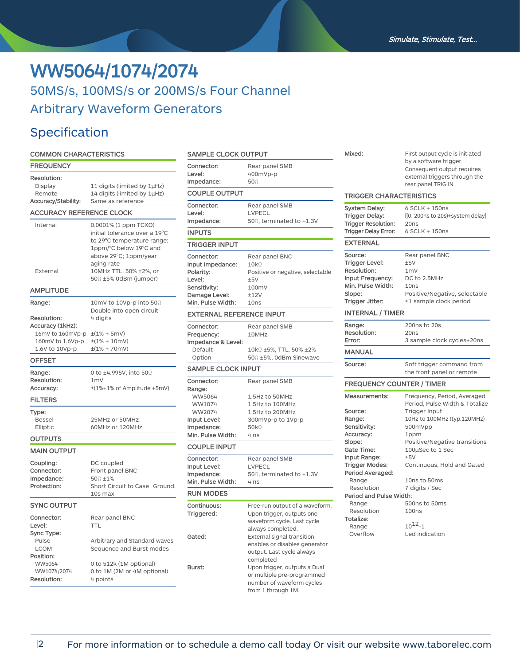# **WW5064/1074/2074** 50MS/s, 100MS/s or 200MS/s Four Channel Arbitrary Waveform Generators

## Specification

### **COMMON CHARACTERISTICS**

| <b>FREQUENCY</b>                |                                                            |
|---------------------------------|------------------------------------------------------------|
| Resolution:                     |                                                            |
| Display<br>Remote               | 11 digits (limited by 1µHz)<br>14 digits (limited by 1µHz) |
| Accuracy/Stability:             | Same as reference                                          |
| <b>ACCURACY REFERENCE CLOCK</b> |                                                            |
| Internal                        | 0.0001% (1 ppm TCXO)                                       |
|                                 | initial tolerance over a 19°C                              |
|                                 | to 29°C temperature range;                                 |
|                                 | 1ppm/°C below 19°C and<br>above 29°C; 1ppm/year            |
|                                 | aging rate                                                 |
| External                        | 10MHz TTL, 50% ±2%, or                                     |
|                                 | 500 ±5% 0dBm (jumper)                                      |
| AMPLITUDE                       |                                                            |
| Range:                          | 10mV to 10Vp-p into 50Ω;                                   |
| Resolution:                     | Double into open circuit<br>4 digits                       |
| Accuracy (1kHz):                |                                                            |
| 16mV to 160mVp-p                | $\pm(1\% + 5mV)$                                           |
| 160mV to 1.6Vp-p                | $\pm(1\% + 10$ mV)                                         |
| 1.6V to 10Vp-p                  | $\pm(1\% + 70$ mV)                                         |
| <b>OFFSET</b>                   |                                                            |
| Range:                          | 0 to ±4.995V, into 500                                     |
| Resolution:                     | 1 <sub>m</sub>                                             |
| Accuracy:                       | ±(1%+1% of Amplitude +5mV)                                 |
| <b>FILTERS</b>                  |                                                            |
| Type:                           |                                                            |
| <b>Bessel</b><br>Elliptic       | 25MHz or 50MHz<br>60MHz or 120MHz                          |
|                                 |                                                            |
| OUTPUTS<br><b>MAIN OUTPUT</b>   |                                                            |
|                                 |                                                            |
| Coupling:<br>Connector:         | DC coupled<br>Front panel BNC                              |
| Impedance:                      | 500 ±1%                                                    |
| Protection:                     | Short Circuit to Case Ground,                              |
|                                 | 10s max                                                    |
| <b>SYNC OUTPUT</b>              |                                                            |
| Connector:                      | Rear panel BNC                                             |
| Level:                          | <b>TTL</b>                                                 |
| Sync Type:<br>Pulse             | Arbitrary and Standard waves                               |
| <b>LCOM</b>                     | Sequence and Burst modes                                   |
| Position:                       |                                                            |
| WW5064                          | 0 to 512k (1M optional)                                    |
| WW1074/2074                     | 0 to 1M (2M or 4M optional)                                |
| Resolution:                     | 4 points                                                   |

| <b>SAMPLE CLOCK OUTPUT</b>      |                                   |  |
|---------------------------------|-----------------------------------|--|
| Connector:<br>Level:            | Rear panel SMB<br>400mVp-p        |  |
| Impedance:                      | $50\Omega$                        |  |
| <b>COUPLE OUTPUT</b>            |                                   |  |
| Connector:                      | Rear panel SMB                    |  |
| Level:                          | LVPECL                            |  |
| Impedance:                      | 500, terminated to +1.3V          |  |
| <b>INPUTS</b>                   |                                   |  |
| TRIGGER INPUT                   |                                   |  |
| Connector:                      | Rear panel BNC                    |  |
| Input Impedance:                | $10k\Omega$                       |  |
| Polarity:                       | Positive or negative, selectable  |  |
| Level:                          | ±5V<br>100mV                      |  |
| Sensitivity:<br>Damage Level:   | ±12V                              |  |
| Min. Pulse Width:               | 10ns                              |  |
| <b>EXTERNAL REFERENCE INPUT</b> |                                   |  |
| Connector:                      | Rear panel SMB                    |  |
| Frequency:                      | 10MHz                             |  |
| Impedance & Level:              |                                   |  |
| Default                         | 10kΩ ±5%, TTL, 50% ±2%            |  |
| Option                          | 500 ±5%, 0dBm Sinewave            |  |
| <b>SAMPLE CLOCK INPUT</b>       |                                   |  |
| Connector:                      | Rear panel SMB                    |  |
| Range:                          |                                   |  |
| WW5064<br>WW1074                | 1.5Hz to 50MHz<br>1.5Hz to 100MHz |  |
| WW2074                          | 1.5Hz to 200MHz                   |  |
| Input Level:                    | 300mVp-p to 1Vp-p                 |  |
| Impedance:                      | 50k                               |  |
| Min. Pulse Width:               | 4 ns                              |  |
| <b>COUPLE INPUT</b>             |                                   |  |
| Connector:                      | Rear panel SMB                    |  |
| Input Level:                    | <b>LVPECL</b>                     |  |
| Impedance:                      | 50 $\Omega$ , terminated to +1.3V |  |
| Min. Pulse Width:               | 4 <sub>ns</sub>                   |  |
| <b>RUN MODES</b>                |                                   |  |
| Continuous:                     | Free-run output of a waveform.    |  |
| Triggered:                      | Upon trigger, outputs one         |  |
|                                 | waveform cycle. Last cycle        |  |
|                                 | always completed.                 |  |
| Gated:                          | External signal transition        |  |
|                                 | enables or disables generator     |  |
|                                 | output. Last cycle always         |  |
|                                 | completed                         |  |
| Burst:                          | Upon trigger, outputs a Dual      |  |
|                                 | or multiple pre-programmed        |  |
|                                 | number of waveform cycles         |  |
|                                 | from 1 through 1M.                |  |

| Mixed:                                                                                                                                                                                                                                                          | First output cycle is initiated<br>by a software trigger.<br>Consequent output requires<br>external triggers through the<br>rear panel TRIG IN                                                                                                                                                                                        |
|-----------------------------------------------------------------------------------------------------------------------------------------------------------------------------------------------------------------------------------------------------------------|---------------------------------------------------------------------------------------------------------------------------------------------------------------------------------------------------------------------------------------------------------------------------------------------------------------------------------------|
| <b>TRIGGER CHARACTERISTICS</b>                                                                                                                                                                                                                                  |                                                                                                                                                                                                                                                                                                                                       |
| System Delay:<br>Trigger Delay:<br><b>Trigger Resolution:</b><br>Trigger Delay Error:                                                                                                                                                                           | 6 SCLK + 150ns<br>[(0; 200ns to 20s)+system delay]<br>20 <sub>ns</sub><br>6 SCLK + 150ns                                                                                                                                                                                                                                              |
| <b>EXTERNAL</b>                                                                                                                                                                                                                                                 |                                                                                                                                                                                                                                                                                                                                       |
| Source:<br><b>Trigger Level:</b><br>Resolution:<br>Input Frequency:<br>Min. Pulse Width:<br>Slope:<br>Trigger Jitter:                                                                                                                                           | Rear panel BNC<br>±5V<br>1 <sub>m</sub><br>DC to 2.5MHz<br>10ns<br>Positive/Negative, selectable<br>±1 sample clock period                                                                                                                                                                                                            |
| <b>INTERNAL / TIMER</b>                                                                                                                                                                                                                                         |                                                                                                                                                                                                                                                                                                                                       |
| Range:<br>Resolution:<br>Error:                                                                                                                                                                                                                                 | 200ns to 20s<br>20ns<br>3 sample clock cycles+20ns                                                                                                                                                                                                                                                                                    |
| <b>MANUAL</b>                                                                                                                                                                                                                                                   |                                                                                                                                                                                                                                                                                                                                       |
| Source:                                                                                                                                                                                                                                                         | Soft trigger command from<br>the front panel or remote                                                                                                                                                                                                                                                                                |
| <b>FREQUENCY COUNTER / TIMER</b>                                                                                                                                                                                                                                |                                                                                                                                                                                                                                                                                                                                       |
| Measurements:<br>Source:<br>Range:<br>Sensitivity:<br>Accuracy:<br>Slope:<br>Gate Time:<br>Input Range:<br><b>Trigger Modes:</b><br>Period Averaged:<br>Range<br>Resolution<br>Period and Pulse Width:<br>Range<br>Resolution<br>Totalize:<br>Range<br>Overflow | Frequency, Period, Averaged<br>Period, Pulse Width & Totalize<br>Trigger Input<br>10Hz to 100MHz (typ.120MHz)<br>500mVpp<br>1ppm<br>Positive/Negative transitions<br>100µSec to 1 Sec<br>±5V<br>Continuous, Hold and Gated<br>10ns to 50ms<br>7 digits / Sec<br>500ns to 50ms<br>100 <sub>ns</sub><br>$10^{12} - 1$<br>Led indication |
|                                                                                                                                                                                                                                                                 |                                                                                                                                                                                                                                                                                                                                       |